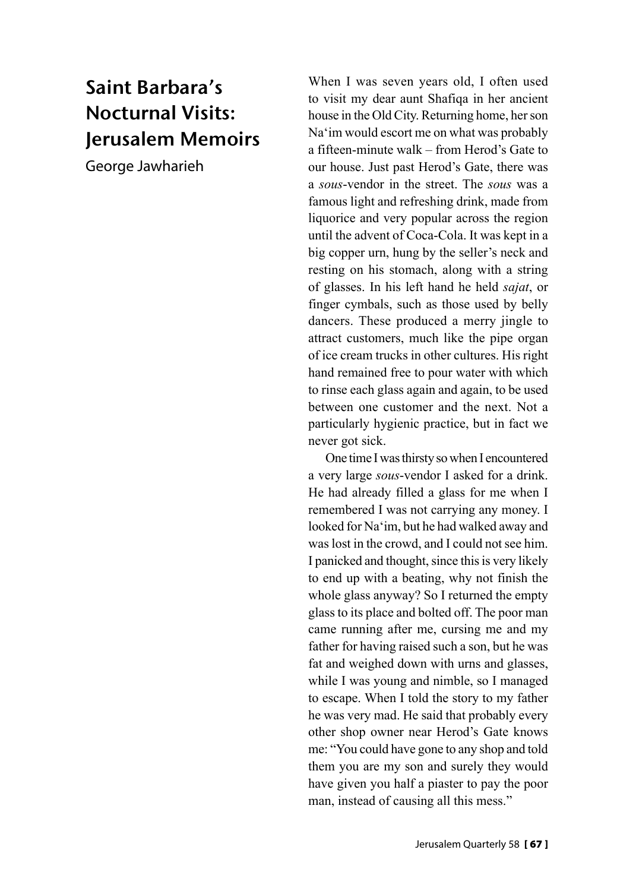## Saint Barbara's Nocturnal Visits: Jerusalem Memoirs

George Jawharieh

When I was seven years old, I often used to visit my dear aunt Shafiqa in her ancient house in the Old City. Returning home, her son Na'im would escort me on what was probably a fifteen-minute walk – from Herod's Gate to our house. Just past Herod's Gate, there was a *sous*-vendor in the street. The *sous* was a famous light and refreshing drink, made from liquorice and very popular across the region until the advent of Coca-Cola. It was kept in a big copper urn, hung by the seller's neck and resting on his stomach, along with a string of glasses. In his left hand he held *sajat*, or finger cymbals, such as those used by belly dancers. These produced a merry jingle to attract customers, much like the pipe organ of ice cream trucks in other cultures. His right hand remained free to pour water with which to rinse each glass again and again, to be used between one customer and the next. Not a particularly hygienic practice, but in fact we never got sick.

One time I was thirsty so when I encountered a very large *sous*-vendor I asked for a drink. He had already filled a glass for me when I remembered I was not carrying any money. I looked for Na'im, but he had walked away and was lost in the crowd, and I could not see him. I panicked and thought, since this is very likely to end up with a beating, why not finish the whole glass anyway? So I returned the empty glass to its place and bolted off. The poor man came running after me, cursing me and my father for having raised such a son, but he was fat and weighed down with urns and glasses, while I was young and nimble, so I managed to escape. When I told the story to my father he was very mad. He said that probably every other shop owner near Herod's Gate knows me: "You could have gone to any shop and told them you are my son and surely they would have given you half a piaster to pay the poor man, instead of causing all this mess."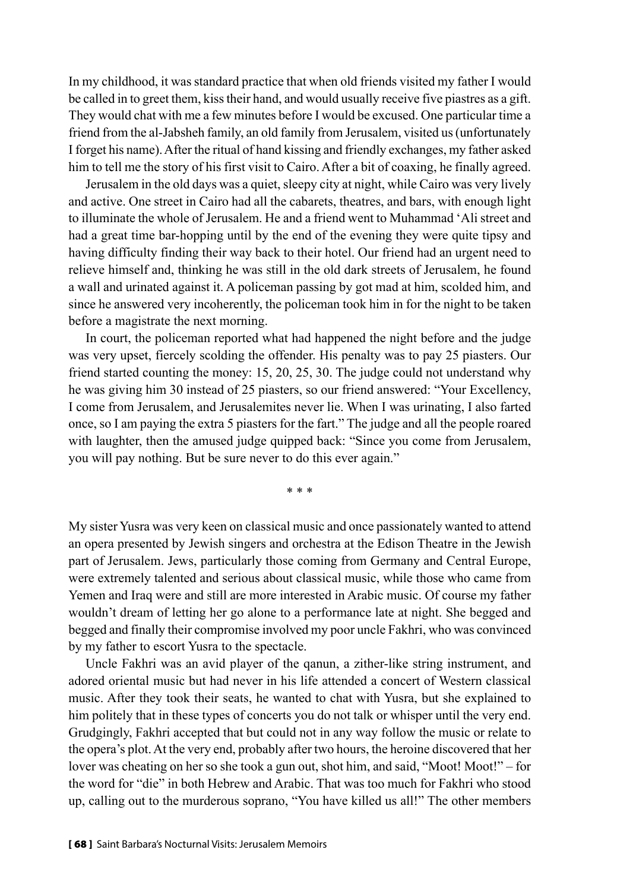In my childhood, it was standard practice that when old friends visited my father I would be called in to greet them, kiss their hand, and would usually receive five piastres as a gift. They would chat with me a few minutes before I would be excused. One particular time a friend from the al-Jabsheh family, an old family from Jerusalem, visited us (unfortunately I forget his name). After the ritual of hand kissing and friendly exchanges, my father asked him to tell me the story of his first visit to Cairo. After a bit of coaxing, he finally agreed.

Jerusalem in the old days was a quiet, sleepy city at night, while Cairo was very lively and active. One street in Cairo had all the cabarets, theatres, and bars, with enough light to illuminate the whole of Jerusalem. He and a friend went to Muhammad 'Ali street and had a great time bar-hopping until by the end of the evening they were quite tipsy and having difficulty finding their way back to their hotel. Our friend had an urgent need to relieve himself and, thinking he was still in the old dark streets of Jerusalem, he found a wall and urinated against it. A policeman passing by got mad at him, scolded him, and since he answered very incoherently, the policeman took him in for the night to be taken before a magistrate the next morning.

In court, the policeman reported what had happened the night before and the judge was very upset, fiercely scolding the offender. His penalty was to pay 25 piasters. Our friend started counting the money: 15, 20, 25, 30. The judge could not understand why he was giving him 30 instead of 25 piasters, so our friend answered: "Your Excellency, I come from Jerusalem, and Jerusalemites never lie. When I was urinating, I also farted once, so I am paying the extra 5 piasters for the fart." The judge and all the people roared with laughter, then the amused judge quipped back: "Since you come from Jerusalem, you will pay nothing. But be sure never to do this ever again."

\* \* \*

My sister Yusra was very keen on classical music and once passionately wanted to attend an opera presented by Jewish singers and orchestra at the Edison Theatre in the Jewish part of Jerusalem. Jews, particularly those coming from Germany and Central Europe, were extremely talented and serious about classical music, while those who came from Yemen and Iraq were and still are more interested in Arabic music. Of course my father wouldn't dream of letting her go alone to a performance late at night. She begged and begged and finally their compromise involved my poor uncle Fakhri, who was convinced by my father to escort Yusra to the spectacle.

Uncle Fakhri was an avid player of the qanun, a zither-like string instrument, and adored oriental music but had never in his life attended a concert of Western classical music. After they took their seats, he wanted to chat with Yusra, but she explained to him politely that in these types of concerts you do not talk or whisper until the very end. Grudgingly, Fakhri accepted that but could not in any way follow the music or relate to the opera's plot. At the very end, probably after two hours, the heroine discovered that her lover was cheating on her so she took a gun out, shot him, and said, "Moot! Moot!" – for the word for "die" in both Hebrew and Arabic. That was too much for Fakhri who stood up, calling out to the murderous soprano, "You have killed us all!" The other members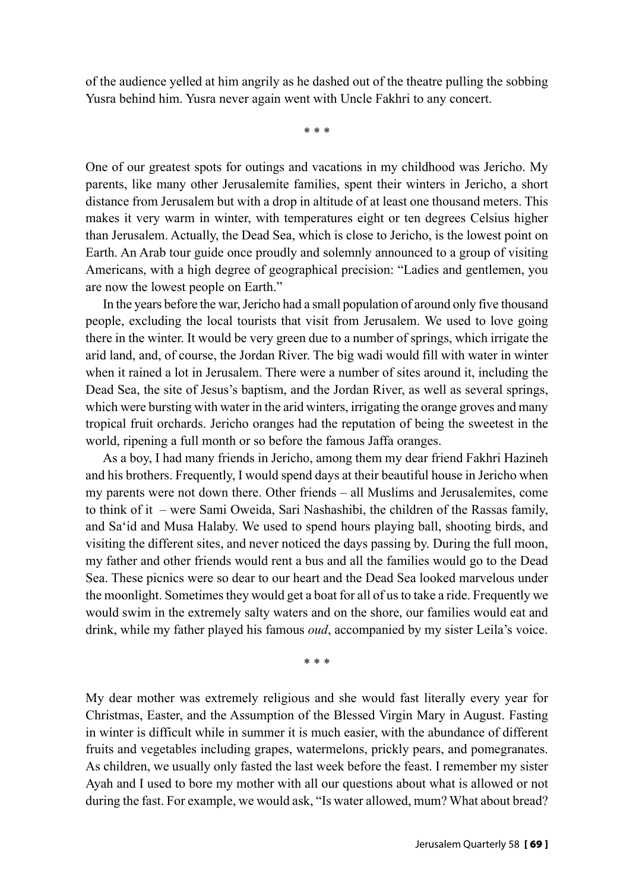of the audience yelled at him angrily as he dashed out of the theatre pulling the sobbing Yusra behind him. Yusra never again went with Uncle Fakhri to any concert.

\* \* \*

One of our greatest spots for outings and vacations in my childhood was Jericho. My parents, like many other Jerusalemite families, spent their winters in Jericho, a short distance from Jerusalem but with a drop in altitude of at least one thousand meters. This makes it very warm in winter, with temperatures eight or ten degrees Celsius higher than Jerusalem. Actually, the Dead Sea, which is close to Jericho, is the lowest point on Earth. An Arab tour guide once proudly and solemnly announced to a group of visiting Americans, with a high degree of geographical precision: "Ladies and gentlemen, you are now the lowest people on Earth."

In the years before the war, Jericho had a small population of around only five thousand people, excluding the local tourists that visit from Jerusalem. We used to love going there in the winter. It would be very green due to a number of springs, which irrigate the arid land, and, of course, the Jordan River. The big wadi would fill with water in winter when it rained a lot in Jerusalem. There were a number of sites around it, including the Dead Sea, the site of Jesus's baptism, and the Jordan River, as well as several springs, which were bursting with water in the arid winters, irrigating the orange groves and many tropical fruit orchards. Jericho oranges had the reputation of being the sweetest in the world, ripening a full month or so before the famous Jaffa oranges.

As a boy, I had many friends in Jericho, among them my dear friend Fakhri Hazineh and his brothers. Frequently, I would spend days at their beautiful house in Jericho when my parents were not down there. Other friends – all Muslims and Jerusalemites, come to think of it – were Sami Oweida, Sari Nashashibi, the children of the Rassas family, and Sa'id and Musa Halaby. We used to spend hours playing ball, shooting birds, and visiting the different sites, and never noticed the days passing by. During the full moon, my father and other friends would rent a bus and all the families would go to the Dead Sea. These picnics were so dear to our heart and the Dead Sea looked marvelous under the moonlight. Sometimes they would get a boat for all of us to take a ride. Frequently we would swim in the extremely salty waters and on the shore, our families would eat and drink, while my father played his famous *oud*, accompanied by my sister Leila's voice.

\* \* \*

My dear mother was extremely religious and she would fast literally every year for Christmas, Easter, and the Assumption of the Blessed Virgin Mary in August. Fasting in winter is difficult while in summer it is much easier, with the abundance of different fruits and vegetables including grapes, watermelons, prickly pears, and pomegranates. As children, we usually only fasted the last week before the feast. I remember my sister Ayah and I used to bore my mother with all our questions about what is allowed or not during the fast. For example, we would ask, "Is water allowed, mum? What about bread?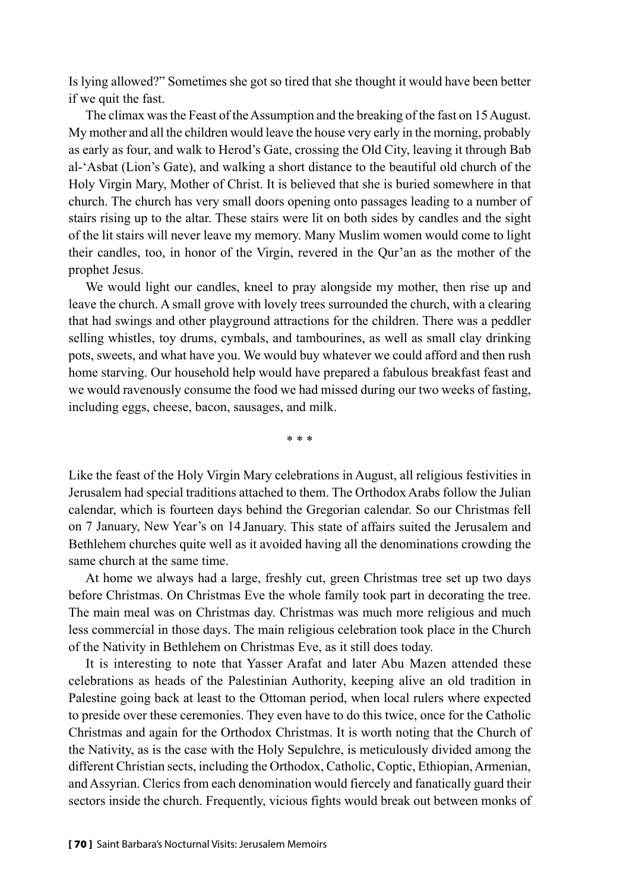Is lying allowed?" Sometimes she got so tired that she thought it would have been better if we quit the fast.

The climax was the Feast of the Assumption and the breaking of the fast on 15 August. My mother and all the children would leave the house very early in the morning, probably as early as four, and walk to Herod's Gate, crossing the Old City, leaving it through Bab al-'Asbat (Lion's Gate), and walking a short distance to the beautiful old church of the Holy Virgin Mary, Mother of Christ. It is believed that she is buried somewhere in that church. The church has very small doors opening onto passages leading to a number of stairs rising up to the altar. These stairs were lit on both sides by candles and the sight of the lit stairs will never leave my memory. Many Muslim women would come to light their candles, too, in honor of the Virgin, revered in the Qur'an as the mother of the prophet Jesus.

We would light our candles, kneel to pray alongside my mother, then rise up and leave the church. A small grove with lovely trees surrounded the church, with a clearing that had swings and other playground attractions for the children. There was a peddler selling whistles, toy drums, cymbals, and tambourines, as well as small clay drinking pots, sweets, and what have you. We would buy whatever we could afford and then rush home starving. Our household help would have prepared a fabulous breakfast feast and we would ravenously consume the food we had missed during our two weeks of fasting, including eggs, cheese, bacon, sausages, and milk.

\* \* \*

Like the feast of the Holy Virgin Mary celebrations in August, all religious festivities in Jerusalem had special traditions attached to them. The Orthodox Arabs follow the Julian calendar, which is fourteen days behind the Gregorian calendar. So our Christmas fell on 7 January, New Year's on 14 January. This state of affairs suited the Jerusalem and Bethlehem churches quite well as it avoided having all the denominations crowding the same church at the same time.

At home we always had a large, freshly cut, green Christmas tree set up two days before Christmas. On Christmas Eve the whole family took part in decorating the tree. The main meal was on Christmas day. Christmas was much more religious and much less commercial in those days. The main religious celebration took place in the Church of the Nativity in Bethlehem on Christmas Eve, as it still does today.

It is interesting to note that Yasser Arafat and later Abu Mazen attended these celebrations as heads of the Palestinian Authority, keeping alive an old tradition in Palestine going back at least to the Ottoman period, when local rulers where expected to preside over these ceremonies. They even have to do this twice, once for the Catholic Christmas and again for the Orthodox Christmas. It is worth noting that the Church of the Nativity, as is the case with the Holy Sepulchre, is meticulously divided among the different Christian sects, including the Orthodox, Catholic, Coptic, Ethiopian, Armenian, and Assyrian. Clerics from each denomination would fiercely and fanatically guard their sectors inside the church. Frequently, vicious fights would break out between monks of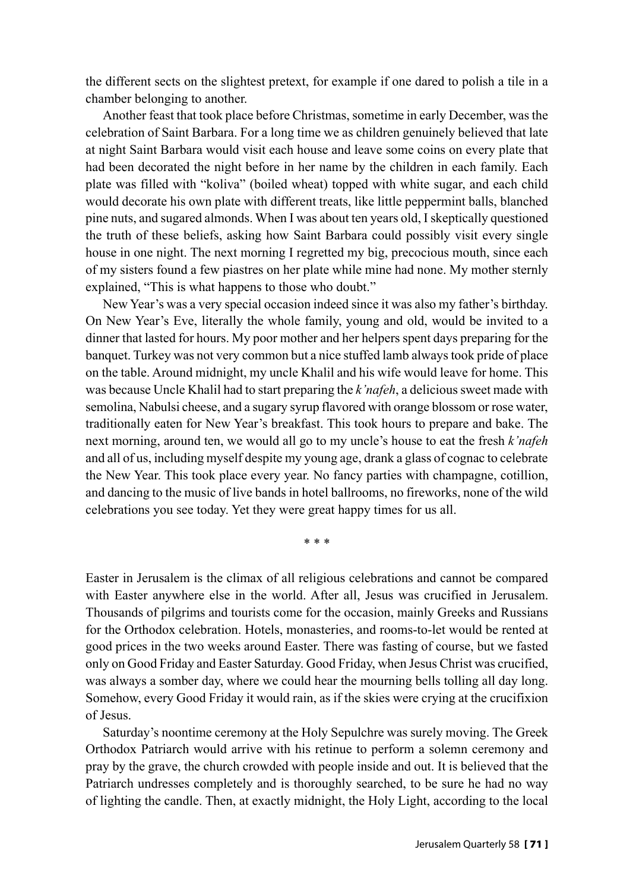the different sects on the slightest pretext, for example if one dared to polish a tile in a chamber belonging to another.

Another feast that took place before Christmas, sometime in early December, was the celebration of Saint Barbara. For a long time we as children genuinely believed that late at night Saint Barbara would visit each house and leave some coins on every plate that had been decorated the night before in her name by the children in each family. Each plate was filled with "koliva" (boiled wheat) topped with white sugar, and each child would decorate his own plate with different treats, like little peppermint balls, blanched pine nuts, and sugared almonds. When I was about ten years old, I skeptically questioned the truth of these beliefs, asking how Saint Barbara could possibly visit every single house in one night. The next morning I regretted my big, precocious mouth, since each of my sisters found a few piastres on her plate while mine had none. My mother sternly explained, "This is what happens to those who doubt."

New Year's was a very special occasion indeed since it was also my father's birthday. On New Year's Eve, literally the whole family, young and old, would be invited to a dinner that lasted for hours. My poor mother and her helpers spent days preparing for the banquet. Turkey was not very common but a nice stuffed lamb always took pride of place on the table. Around midnight, my uncle Khalil and his wife would leave for home. This was because Uncle Khalil had to start preparing the *k'nafeh*, a delicious sweet made with semolina, Nabulsi cheese, and a sugary syrup flavored with orange blossom or rose water, traditionally eaten for New Year's breakfast. This took hours to prepare and bake. The next morning, around ten, we would all go to my uncle's house to eat the fresh *k'nafeh* and all of us, including myself despite my young age, drank a glass of cognac to celebrate the New Year. This took place every year. No fancy parties with champagne, cotillion, and dancing to the music of live bands in hotel ballrooms, no fireworks, none of the wild celebrations you see today. Yet they were great happy times for us all.

\* \* \*

Easter in Jerusalem is the climax of all religious celebrations and cannot be compared with Easter anywhere else in the world. After all, Jesus was crucified in Jerusalem. Thousands of pilgrims and tourists come for the occasion, mainly Greeks and Russians for the Orthodox celebration. Hotels, monasteries, and rooms-to-let would be rented at good prices in the two weeks around Easter. There was fasting of course, but we fasted only on Good Friday and Easter Saturday. Good Friday, when Jesus Christ was crucified, was always a somber day, where we could hear the mourning bells tolling all day long. Somehow, every Good Friday it would rain, as if the skies were crying at the crucifixion of Jesus.

Saturday's noontime ceremony at the Holy Sepulchre was surely moving. The Greek Orthodox Patriarch would arrive with his retinue to perform a solemn ceremony and pray by the grave, the church crowded with people inside and out. It is believed that the Patriarch undresses completely and is thoroughly searched, to be sure he had no way of lighting the candle. Then, at exactly midnight, the Holy Light, according to the local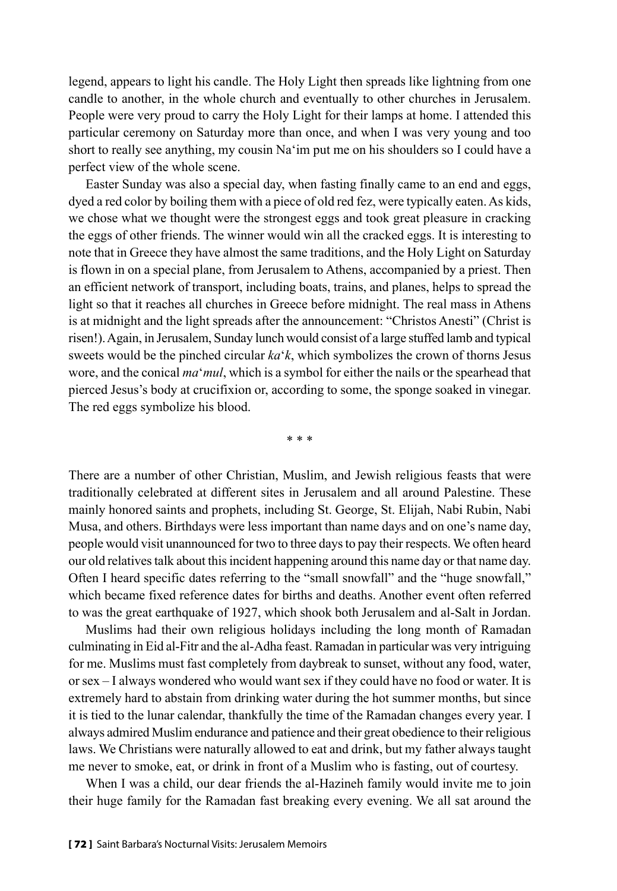legend, appears to light his candle. The Holy Light then spreads like lightning from one candle to another, in the whole church and eventually to other churches in Jerusalem. People were very proud to carry the Holy Light for their lamps at home. I attended this particular ceremony on Saturday more than once, and when I was very young and too short to really see anything, my cousin Na'im put me on his shoulders so I could have a perfect view of the whole scene.

Easter Sunday was also a special day, when fasting finally came to an end and eggs, dyed a red color by boiling them with a piece of old red fez, were typically eaten. As kids, we chose what we thought were the strongest eggs and took great pleasure in cracking the eggs of other friends. The winner would win all the cracked eggs. It is interesting to note that in Greece they have almost the same traditions, and the Holy Light on Saturday is flown in on a special plane, from Jerusalem to Athens, accompanied by a priest. Then an efficient network of transport, including boats, trains, and planes, helps to spread the light so that it reaches all churches in Greece before midnight. The real mass in Athens is at midnight and the light spreads after the announcement: "Christos Anesti" (Christ is risen!). Again, in Jerusalem, Sunday lunch would consist of a large stuffed lamb and typical sweets would be the pinched circular *ka*'*k*, which symbolizes the crown of thorns Jesus wore, and the conical *ma*'*mul*, which is a symbol for either the nails or the spearhead that pierced Jesus's body at crucifixion or, according to some, the sponge soaked in vinegar. The red eggs symbolize his blood.

\* \* \*

There are a number of other Christian, Muslim, and Jewish religious feasts that were traditionally celebrated at different sites in Jerusalem and all around Palestine. These mainly honored saints and prophets, including St. George, St. Elijah, Nabi Rubin, Nabi Musa, and others. Birthdays were less important than name days and on one's name day, people would visit unannounced for two to three days to pay their respects. We often heard our old relatives talk about this incident happening around this name day or that name day. Often I heard specific dates referring to the "small snowfall" and the "huge snowfall," which became fixed reference dates for births and deaths. Another event often referred to was the great earthquake of 1927, which shook both Jerusalem and al-Salt in Jordan.

Muslims had their own religious holidays including the long month of Ramadan culminating in Eid al-Fitr and the al-Adha feast. Ramadan in particular was very intriguing for me. Muslims must fast completely from daybreak to sunset, without any food, water, or sex – I always wondered who would want sex if they could have no food or water. It is extremely hard to abstain from drinking water during the hot summer months, but since it is tied to the lunar calendar, thankfully the time of the Ramadan changes every year. I always admired Muslim endurance and patience and their great obedience to their religious laws. We Christians were naturally allowed to eat and drink, but my father always taught me never to smoke, eat, or drink in front of a Muslim who is fasting, out of courtesy.

When I was a child, our dear friends the al-Hazineh family would invite me to join their huge family for the Ramadan fast breaking every evening. We all sat around the